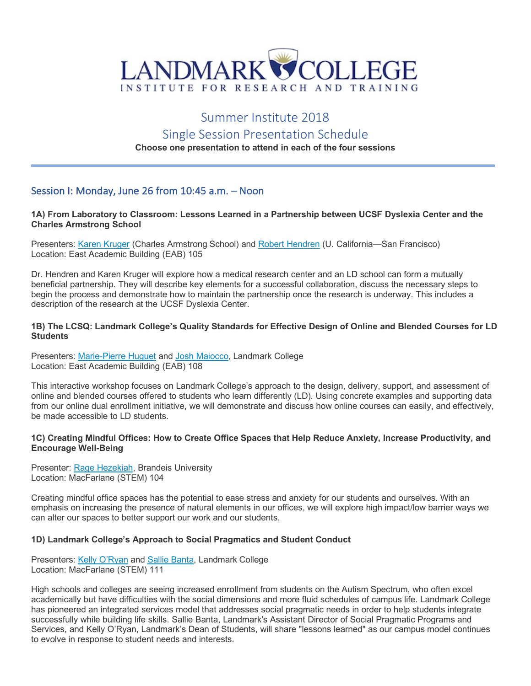

# Summer Institute 2018

# Single Session Presentation Schedule

## **Choose one presentation to attend in each of the four sessions**

# Session I: Monday, June 26 from 10:45 a.m. – Noon

#### **1A) From Laboratory to Classroom: Lessons Learned in a Partnership between UCSF Dyslexia Center and the Charles Armstrong School**

Presenters: Karen Kruger (Charles Armstrong School) and Robert Hendren (U. California—San Francisco) Location: East Academic Building (EAB) 105

Dr. Hendren and Karen Kruger will explore how a medical research center and an LD school can form a mutually beneficial partnership. They will describe key elements for a successful collaboration, discuss the necessary steps to begin the process and demonstrate how to maintain the partnership once the research is underway. This includes a description of the research at the UCSF Dyslexia Center.

#### **1B) The LCSQ: Landmark College's Quality Standards for Effective Design of Online and Blended Courses for LD Students**

Presenters: Marie-Pierre Huguet and Josh Maiocco, Landmark College Location: East Academic Building (EAB) 108

This interactive workshop focuses on Landmark College's approach to the design, delivery, support, and assessment of online and blended courses offered to students who learn differently (LD). Using concrete examples and supporting data from our online dual enrollment initiative, we will demonstrate and discuss how online courses can easily, and effectively, be made accessible to LD students.

#### **1C) Creating Mindful Offices: How to Create Office Spaces that Help Reduce Anxiety, Increase Productivity, and Encourage Well-Being**

Presenter: Rage Hezekiah, Brandeis University Location: MacFarlane (STEM) 104

Creating mindful office spaces has the potential to ease stress and anxiety for our students and ourselves. With an emphasis on increasing the presence of natural elements in our offices, we will explore high impact/low barrier ways we can alter our spaces to better support our work and our students.

#### **1D) Landmark College's Approach to Social Pragmatics and Student Conduct**

Presenters: Kelly O'Ryan and Sallie Banta, Landmark College Location: MacFarlane (STEM) 111

High schools and colleges are seeing increased enrollment from students on the Autism Spectrum, who often excel academically but have difficulties with the social dimensions and more fluid schedules of campus life. Landmark College has pioneered an integrated services model that addresses social pragmatic needs in order to help students integrate successfully while building life skills. Sallie Banta, Landmark's Assistant Director of Social Pragmatic Programs and Services, and Kelly O'Ryan, Landmark's Dean of Students, will share "lessons learned" as our campus model continues to evolve in response to student needs and interests.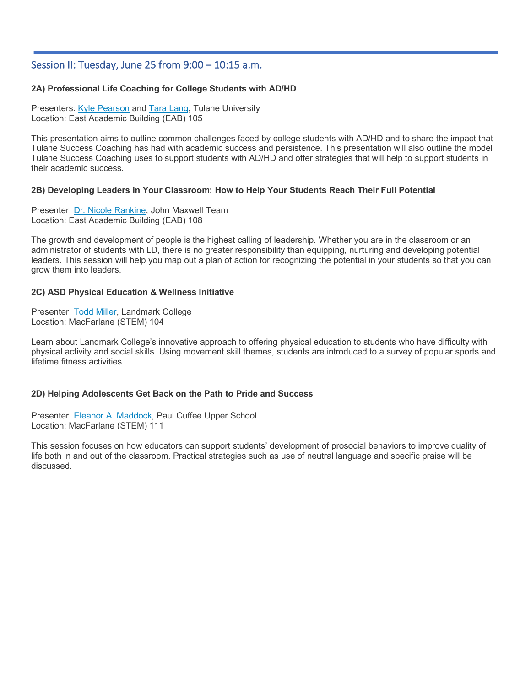# Session II: Tuesday, June 25 from 9:00 – 10:15 a.m.

### **2A) Professional Life Coaching for College Students with AD/HD**

Presenters: Kyle Pearson and Tara Lang, Tulane University Location: East Academic Building (EAB) 105

This presentation aims to outline common challenges faced by college students with AD/HD and to share the impact that Tulane Success Coaching has had with academic success and persistence. This presentation will also outline the model Tulane Success Coaching uses to support students with AD/HD and offer strategies that will help to support students in their academic success.

#### **2B) Developing Leaders in Your Classroom: How to Help Your Students Reach Their Full Potential**

Presenter: Dr. Nicole Rankine, John Maxwell Team Location: East Academic Building (EAB) 108

The growth and development of people is the highest calling of leadership. Whether you are in the classroom or an administrator of students with LD, there is no greater responsibility than equipping, nurturing and developing potential leaders. This session will help you map out a plan of action for recognizing the potential in your students so that you can grow them into leaders.

#### **2C) ASD Physical Education & Wellness Initiative**

Presenter: Todd Miller, Landmark College Location: MacFarlane (STEM) 104

Learn about Landmark College's innovative approach to offering physical education to students who have difficulty with physical activity and social skills. Using movement skill themes, students are introduced to a survey of popular sports and lifetime fitness activities.

#### **2D) Helping Adolescents Get Back on the Path to Pride and Success**

Presenter: Eleanor A. Maddock, Paul Cuffee Upper School Location: MacFarlane (STEM) 111

This session focuses on how educators can support students' development of prosocial behaviors to improve quality of life both in and out of the classroom. Practical strategies such as use of neutral language and specific praise will be discussed.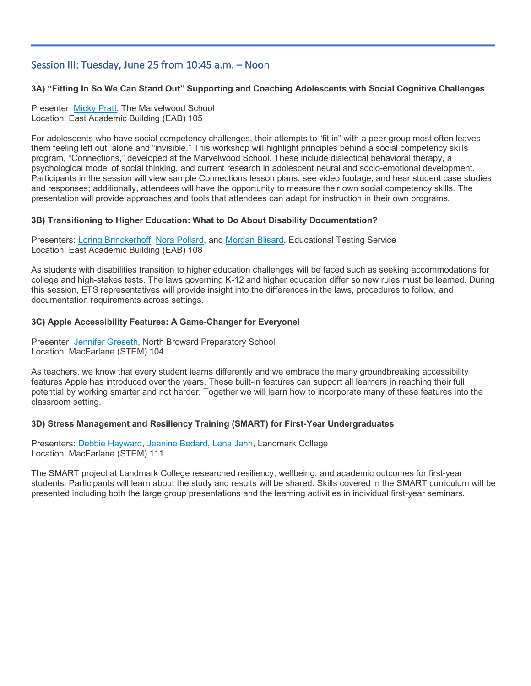# Session III: Tuesday, June 25 from 10:45 a.m. – Noon

# **3A) "Fitting In So We Can Stand Out" Supporting and Coaching Adolescents with Social Cognitive Challenges**

Presenter: Micky Pratt, The Marvelwood School Location: East Academic Building (EAB) 105

Ī

For adolescents who have social competency challenges, their attempts to "fit in" with a peer group most often leaves them feeling left out, alone and "invisible." This workshop will highlight principles behind a social competency skills program, "Connections," developed at the Marvelwood School. These include dialectical behavioral therapy, a psychological model of social thinking, and current research in adolescent neural and socio-emotional development. Participants in the session will view sample Connections lesson plans, see video footage, and hear student case studies and responses; additionally, attendees will have the opportunity to measure their own social competency skills. The presentation will provide approaches and tools that attendees can adapt for instruction in their own programs.

#### **3B) Transitioning to Higher Education: What to Do About Disability Documentation?**

Presenters: Loring Brinckerhoff, Nora Pollard, and Morgan Blisard, Educational Testing Service Location: East Academic Building (EAB) 108

As students with disabilities transition to higher education challenges will be faced such as seeking accommodations for college and high-stakes tests. The laws governing K-12 and higher education differ so new rules must be learned. During this session, ETS representatives will provide insight into the differences in the laws, procedures to follow, and documentation requirements across settings.

## **3C) Apple Accessibility Features: A Game-Changer for Everyone!**

Presenter: Jennifer Greseth, North Broward Preparatory School Location: MacFarlane (STEM) 104

As teachers, we know that every student learns differently and we embrace the many groundbreaking accessibility features Apple has introduced over the years. These built-in features can support all learners in reaching their full potential by working smarter and not harder. Together we will learn how to incorporate many of these features into the classroom setting.

## **3D) Stress Management and Resiliency Training (SMART) for First-Year Undergraduates**

Presenters: Debbie Hayward, Jeanine Bedard, Lena Jahn, Landmark College Location: MacFarlane (STEM) 111

The SMART project at Landmark College researched resiliency, wellbeing, and academic outcomes for first-year students. Participants will learn about the study and results will be shared. Skills covered in the SMART curriculum will be presented including both the large group presentations and the learning activities in individual first-year seminars.